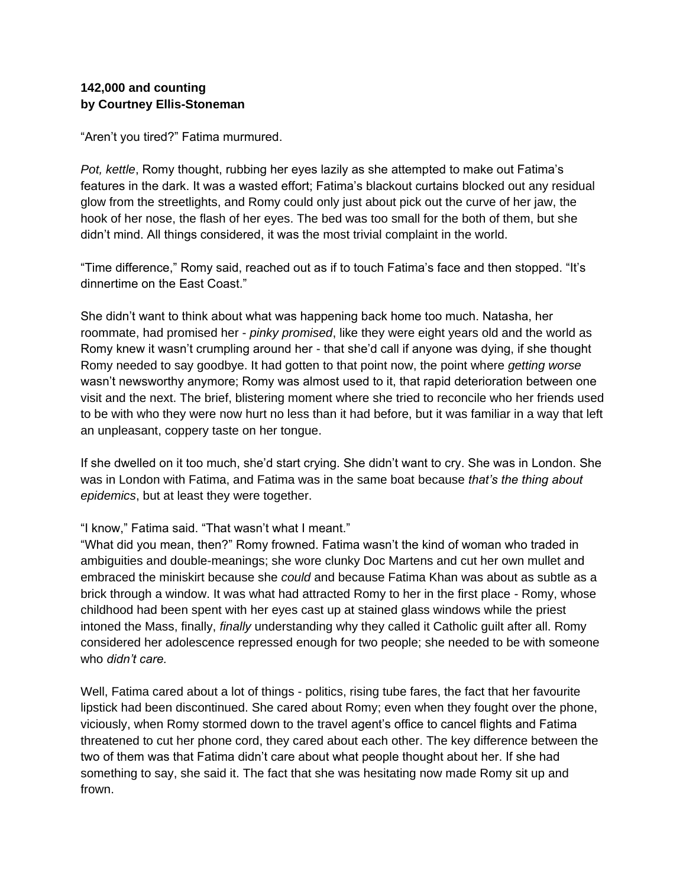## **142,000 and counting by Courtney Ellis-Stoneman**

"Aren't you tired?" Fatima murmured.

*Pot, kettle*, Romy thought, rubbing her eyes lazily as she attempted to make out Fatima's features in the dark. It was a wasted effort; Fatima's blackout curtains blocked out any residual glow from the streetlights, and Romy could only just about pick out the curve of her jaw, the hook of her nose, the flash of her eyes. The bed was too small for the both of them, but she didn't mind. All things considered, it was the most trivial complaint in the world.

"Time difference," Romy said, reached out as if to touch Fatima's face and then stopped. "It's dinnertime on the East Coast."

She didn't want to think about what was happening back home too much. Natasha, her roommate, had promised her - *pinky promised*, like they were eight years old and the world as Romy knew it wasn't crumpling around her - that she'd call if anyone was dying, if she thought Romy needed to say goodbye. It had gotten to that point now, the point where *getting worse*  wasn't newsworthy anymore; Romy was almost used to it, that rapid deterioration between one visit and the next. The brief, blistering moment where she tried to reconcile who her friends used to be with who they were now hurt no less than it had before, but it was familiar in a way that left an unpleasant, coppery taste on her tongue.

If she dwelled on it too much, she'd start crying. She didn't want to cry. She was in London. She was in London with Fatima, and Fatima was in the same boat because *that's the thing about epidemics*, but at least they were together.

## "I know," Fatima said. "That wasn't what I meant."

"What did you mean, then?" Romy frowned. Fatima wasn't the kind of woman who traded in ambiguities and double-meanings; she wore clunky Doc Martens and cut her own mullet and embraced the miniskirt because she *could* and because Fatima Khan was about as subtle as a brick through a window. It was what had attracted Romy to her in the first place - Romy, whose childhood had been spent with her eyes cast up at stained glass windows while the priest intoned the Mass, finally, *finally* understanding why they called it Catholic guilt after all. Romy considered her adolescence repressed enough for two people; she needed to be with someone who *didn't care.* 

Well, Fatima cared about a lot of things - politics, rising tube fares, the fact that her favourite lipstick had been discontinued. She cared about Romy; even when they fought over the phone, viciously, when Romy stormed down to the travel agent's office to cancel flights and Fatima threatened to cut her phone cord, they cared about each other. The key difference between the two of them was that Fatima didn't care about what people thought about her. If she had something to say, she said it. The fact that she was hesitating now made Romy sit up and frown.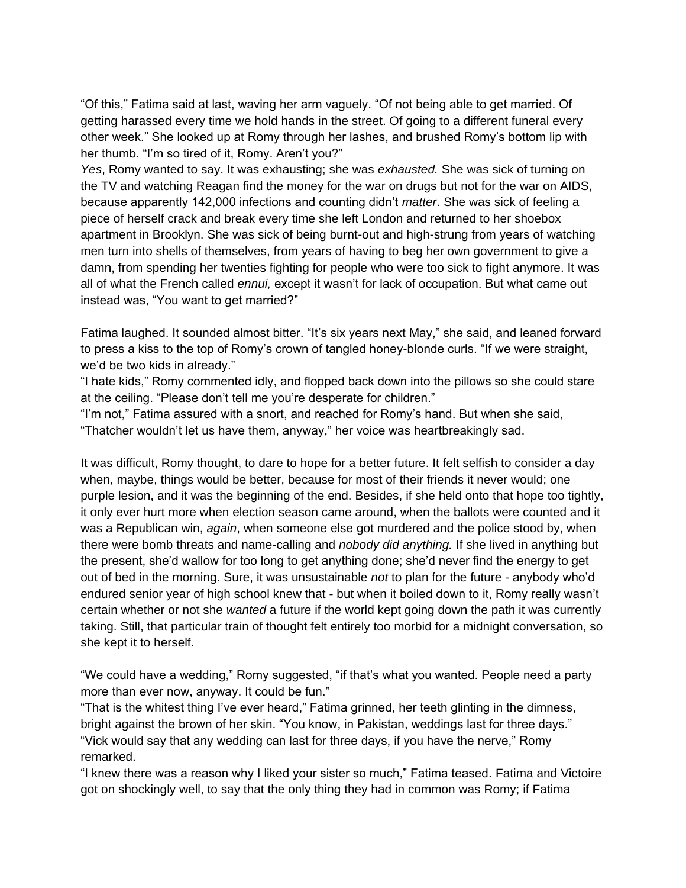"Of this," Fatima said at last, waving her arm vaguely. "Of not being able to get married. Of getting harassed every time we hold hands in the street. Of going to a different funeral every other week." She looked up at Romy through her lashes, and brushed Romy's bottom lip with her thumb. "I'm so tired of it, Romy. Aren't you?"

*Yes*, Romy wanted to say. It was exhausting; she was *exhausted.* She was sick of turning on the TV and watching Reagan find the money for the war on drugs but not for the war on AIDS, because apparently 142,000 infections and counting didn't *matter*. She was sick of feeling a piece of herself crack and break every time she left London and returned to her shoebox apartment in Brooklyn. She was sick of being burnt-out and high-strung from years of watching men turn into shells of themselves, from years of having to beg her own government to give a damn, from spending her twenties fighting for people who were too sick to fight anymore. It was all of what the French called *ennui,* except it wasn't for lack of occupation. But what came out instead was, "You want to get married?"

Fatima laughed. It sounded almost bitter. "It's six years next May," she said, and leaned forward to press a kiss to the top of Romy's crown of tangled honey-blonde curls. "If we were straight, we'd be two kids in already."

"I hate kids," Romy commented idly, and flopped back down into the pillows so she could stare at the ceiling. "Please don't tell me you're desperate for children."

"I'm not," Fatima assured with a snort, and reached for Romy's hand. But when she said, "Thatcher wouldn't let us have them, anyway," her voice was heartbreakingly sad.

It was difficult, Romy thought, to dare to hope for a better future. It felt selfish to consider a day when, maybe, things would be better, because for most of their friends it never would; one purple lesion, and it was the beginning of the end. Besides, if she held onto that hope too tightly, it only ever hurt more when election season came around, when the ballots were counted and it was a Republican win, *again*, when someone else got murdered and the police stood by, when there were bomb threats and name-calling and *nobody did anything.* If she lived in anything but the present, she'd wallow for too long to get anything done; she'd never find the energy to get out of bed in the morning. Sure, it was unsustainable *not* to plan for the future - anybody who'd endured senior year of high school knew that - but when it boiled down to it, Romy really wasn't certain whether or not she *wanted* a future if the world kept going down the path it was currently taking. Still, that particular train of thought felt entirely too morbid for a midnight conversation, so she kept it to herself.

"We could have a wedding," Romy suggested, "if that's what you wanted. People need a party more than ever now, anyway. It could be fun."

"That is the whitest thing I've ever heard," Fatima grinned, her teeth glinting in the dimness, bright against the brown of her skin. "You know, in Pakistan, weddings last for three days." "Vick would say that any wedding can last for three days, if you have the nerve," Romy remarked.

"I knew there was a reason why I liked your sister so much," Fatima teased. Fatima and Victoire got on shockingly well, to say that the only thing they had in common was Romy; if Fatima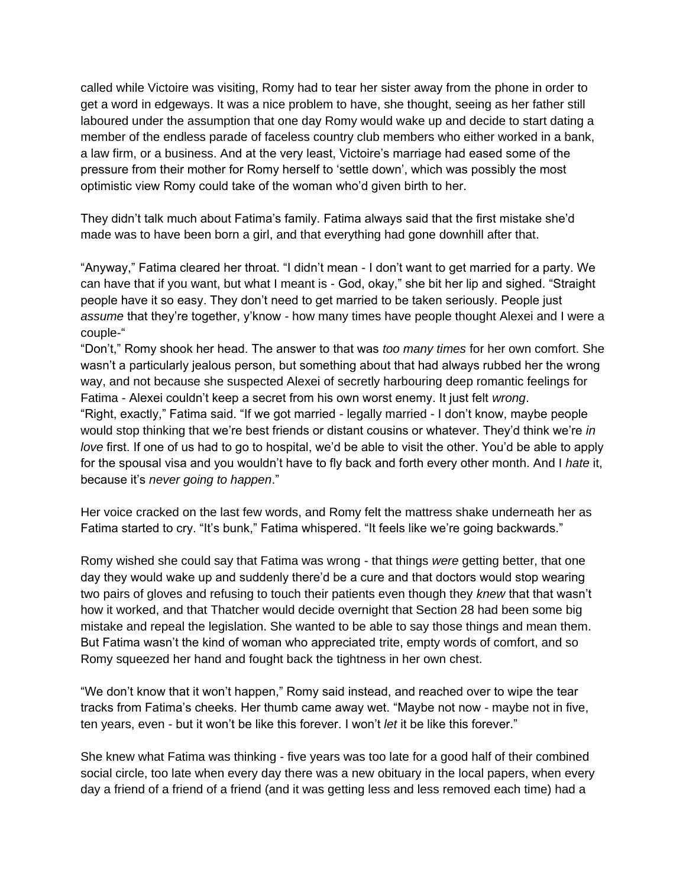called while Victoire was visiting, Romy had to tear her sister away from the phone in order to get a word in edgeways. It was a nice problem to have, she thought, seeing as her father still laboured under the assumption that one day Romy would wake up and decide to start dating a member of the endless parade of faceless country club members who either worked in a bank, a law firm, or a business. And at the very least, Victoire's marriage had eased some of the pressure from their mother for Romy herself to 'settle down', which was possibly the most optimistic view Romy could take of the woman who'd given birth to her.

They didn't talk much about Fatima's family. Fatima always said that the first mistake she'd made was to have been born a girl, and that everything had gone downhill after that.

"Anyway," Fatima cleared her throat. "I didn't mean - I don't want to get married for a party. We can have that if you want, but what I meant is - God, okay," she bit her lip and sighed. "Straight people have it so easy. They don't need to get married to be taken seriously. People just *assume* that they're together, y'know - how many times have people thought Alexei and I were a couple-"

"Don't," Romy shook her head. The answer to that was *too many times* for her own comfort. She wasn't a particularly jealous person, but something about that had always rubbed her the wrong way, and not because she suspected Alexei of secretly harbouring deep romantic feelings for Fatima - Alexei couldn't keep a secret from his own worst enemy. It just felt *wrong*. "Right, exactly," Fatima said. "If we got married - legally married - I don't know, maybe people would stop thinking that we're best friends or distant cousins or whatever. They'd think we're *in love* first. If one of us had to go to hospital, we'd be able to visit the other. You'd be able to apply for the spousal visa and you wouldn't have to fly back and forth every other month. And I *hate* it, because it's *never going to happen*."

Her voice cracked on the last few words, and Romy felt the mattress shake underneath her as Fatima started to cry. "It's bunk," Fatima whispered. "It feels like we're going backwards."

Romy wished she could say that Fatima was wrong - that things *were* getting better, that one day they would wake up and suddenly there'd be a cure and that doctors would stop wearing two pairs of gloves and refusing to touch their patients even though they *knew* that that wasn't how it worked, and that Thatcher would decide overnight that Section 28 had been some big mistake and repeal the legislation. She wanted to be able to say those things and mean them. But Fatima wasn't the kind of woman who appreciated trite, empty words of comfort, and so Romy squeezed her hand and fought back the tightness in her own chest.

"We don't know that it won't happen," Romy said instead, and reached over to wipe the tear tracks from Fatima's cheeks. Her thumb came away wet. "Maybe not now - maybe not in five, ten years, even - but it won't be like this forever. I won't *let* it be like this forever."

She knew what Fatima was thinking - five years was too late for a good half of their combined social circle, too late when every day there was a new obituary in the local papers, when every day a friend of a friend of a friend (and it was getting less and less removed each time) had a